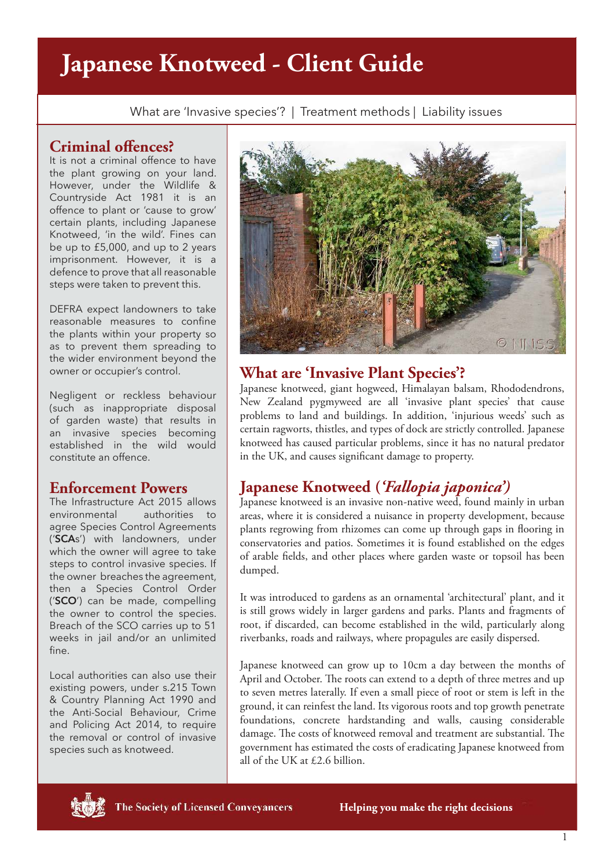# **Japanese Knotweed - Client Guide**

What are 'Invasive species'? | Treatment methods | Liability issues

#### **Criminal offences?**

It is not a criminal offence to have the plant growing on your land. However, under the Wildlife & Countryside Act 1981 it is an offence to plant or 'cause to grow' certain plants, including Japanese Knotweed, 'in the wild'. Fines can be up to £5,000, and up to 2 years imprisonment. However, it is a defence to prove that all reasonable steps were taken to prevent this.

DEFRA expect landowners to take reasonable measures to confine the plants within your property so as to prevent them spreading to the wider environment beyond the owner or occupier's control.

Negligent or reckless behaviour (such as inappropriate disposal of garden waste) that results in an invasive species becoming established in the wild would constitute an offence.

## **Enforcement Powers**

The Infrastructure Act 2015 allows environmental authorities to agree Species Control Agreements ('**SCA**s') with landowners, under which the owner will agree to take steps to control invasive species. If the owner breaches the agreement, then a Species Control Order ('**SCO**') can be made, compelling the owner to control the species. Breach of the SCO carries up to 51 weeks in jail and/or an unlimited fine.

Local authorities can also use their existing powers, under s.215 Town & Country Planning Act 1990 and the Anti-Social Behaviour, Crime and Policing Act 2014, to require the removal or control of invasive species such as knotweed.



# **What are 'Invasive Plant Species'?**

Japanese knotweed, giant hogweed, Himalayan balsam, Rhododendrons, New Zealand pygmyweed are all 'invasive plant species' that cause problems to land and buildings. In addition, 'injurious weeds' such as certain ragworts, thistles, and types of dock are strictly controlled. Japanese knotweed has caused particular problems, since it has no natural predator in the UK, and causes significant damage to property.

# **Japanese Knotweed (***'Fallopia japonica')*

Japanese knotweed is an invasive non-native weed, found mainly in urban areas, where it is considered a nuisance in property development, because plants regrowing from rhizomes can come up through gaps in flooring in conservatories and patios. Sometimes it is found established on the edges of arable fields, and other places where garden waste or topsoil has been dumped.

It was introduced to gardens as an ornamental 'architectural' plant, and it is still grows widely in larger gardens and parks. Plants and fragments of root, if discarded, can become established in the wild, particularly along riverbanks, roads and railways, where propagules are easily dispersed.

Japanese knotweed can grow up to 10cm a day between the months of April and October. The roots can extend to a depth of three metres and up to seven metres laterally. If even a small piece of root or stem is left in the ground, it can reinfest the land. Its vigorous roots and top growth penetrate foundations, concrete hardstanding and walls, causing considerable damage. The costs of knotweed removal and treatment are substantial. The government has estimated the costs of eradicating Japanese knotweed from all of the UK at £2.6 billion.